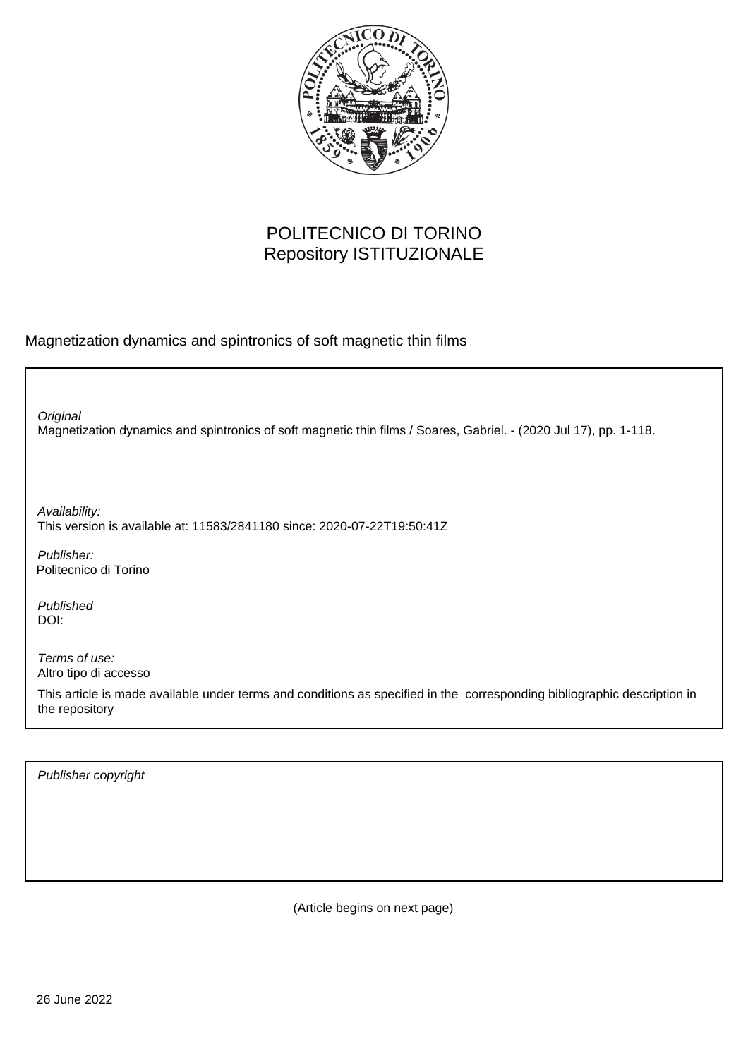

## POLITECNICO DI TORINO Repository ISTITUZIONALE

Magnetization dynamics and spintronics of soft magnetic thin films

Magnetization dynamics and spintronics of soft magnetic thin films / Soares, Gabriel. - (2020 Jul 17), pp. 1-118. **Original** Publisher: Published DOI: Terms of use: Altro tipo di accesso Availability: This version is available at: 11583/2841180 since: 2020-07-22T19:50:41Z Politecnico di Torino

This article is made available under terms and conditions as specified in the corresponding bibliographic description in the repository

Publisher copyright

(Article begins on next page)